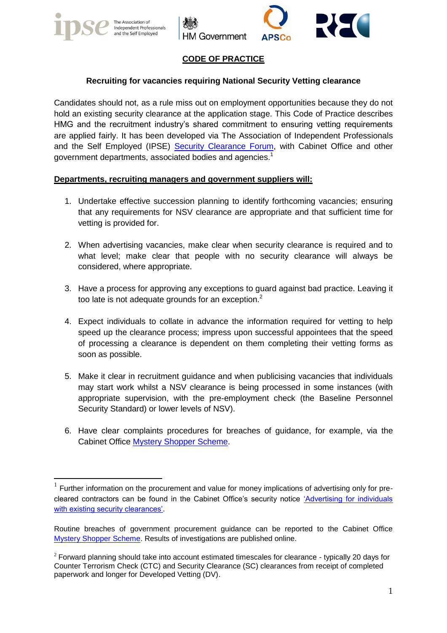

1





# **CODE OF PRACTICE**

## **Recruiting for vacancies requiring National Security Vetting clearance**

Candidates should not, as a rule miss out on employment opportunities because they do not hold an existing security clearance at the application stage. This Code of Practice describes HMG and the recruitment industry's shared commitment to ensuring vetting requirements are applied fairly. It has been developed via The Association of Independent Professionals and the Self Employed (IPSE) [Security Clearance Forum,](http://www.ipse.co.uk/policy/Security-Clearance) with Cabinet Office and other government departments, associated bodies and agencies.<sup>1</sup>

#### **Departments, recruiting managers and government suppliers will:**

- 1. Undertake effective succession planning to identify forthcoming vacancies; ensuring that any requirements for NSV clearance are appropriate and that sufficient time for vetting is provided for.
- 2. When advertising vacancies, make clear when security clearance is required and to what level; make clear that people with no security clearance will always be considered, where appropriate.
- 3. Have a process for approving any exceptions to guard against bad practice. Leaving it too late is not adequate grounds for an exception.<sup>2</sup>
- 4. Expect individuals to collate in advance the information required for vetting to help speed up the clearance process; impress upon successful appointees that the speed of processing a clearance is dependent on them completing their vetting forms as soon as possible.
- 5. Make it clear in recruitment guidance and when publicising vacancies that individuals may start work whilst a NSV clearance is being processed in some instances (with appropriate supervision, with the pre-employment check (the Baseline Personnel Security Standard) or lower levels of NSV).
- 6. Have clear complaints procedures for breaches of guidance, for example, via the Cabinet Office [Mystery Shopper Scheme.](https://www.gov.uk/doing-business-with-government-a-guide-for-smes#mystery-shopper-scheme)

 $1$  Further information on the procurement and value for money implications of advertising only for precleared contractors can be found in the Cabinet Office's security notice ['Advertising for individuals](http://www.ipse.co.uk/news/press-release/2013/03/28/new-cabinet-office-notice-security-clearance-contractors)  [with existing security clearances'.](http://www.ipse.co.uk/news/press-release/2013/03/28/new-cabinet-office-notice-security-clearance-contractors)

Routine breaches of government procurement guidance can be reported to the Cabinet Office [Mystery Shopper Scheme.](https://www.gov.uk/doing-business-with-government-a-guide-for-smes#mystery-shopper-scheme) Results of investigations are published online.

 $2$  Forward planning should take into account estimated timescales for clearance - typically 20 days for Counter Terrorism Check (CTC) and Security Clearance (SC) clearances from receipt of completed paperwork and longer for Developed Vetting (DV).